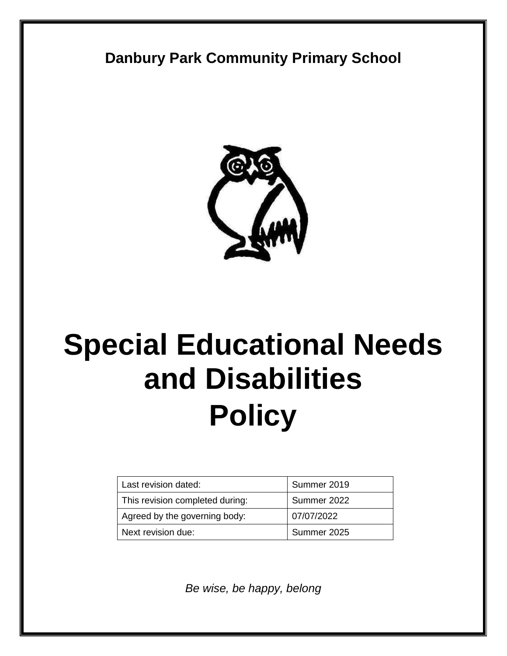**Danbury Park Community Primary School**



# **Special Educational Needs and Disabilities Policy**

| Last revision dated:            | Summer 2019 |
|---------------------------------|-------------|
| This revision completed during: | Summer 2022 |
| Agreed by the governing body:   | 07/07/2022  |
| Next revision due:              | Summer 2025 |

*Be wise, be happy, belong*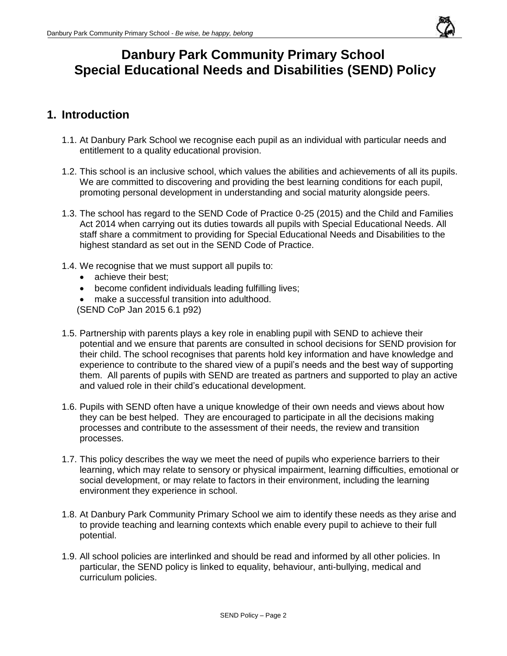

## **Danbury Park Community Primary School Special Educational Needs and Disabilities (SEND) Policy**

#### **1. Introduction**

- 1.1. At Danbury Park School we recognise each pupil as an individual with particular needs and entitlement to a quality educational provision.
- 1.2. This school is an inclusive school, which values the abilities and achievements of all its pupils. We are committed to discovering and providing the best learning conditions for each pupil, promoting personal development in understanding and social maturity alongside peers.
- 1.3. The school has regard to the SEND Code of Practice 0-25 (2015) and the Child and Families Act 2014 when carrying out its duties towards all pupils with Special Educational Needs. All staff share a commitment to providing for Special Educational Needs and Disabilities to the highest standard as set out in the SEND Code of Practice.
- 1.4. We recognise that we must support all pupils to:
	- achieve their best:
	- become confident individuals leading fulfilling lives;
	- make a successful transition into adulthood.
	- (SEND CoP Jan 2015 6.1 p92)
- 1.5. Partnership with parents plays a key role in enabling pupil with SEND to achieve their potential and we ensure that parents are consulted in school decisions for SEND provision for their child. The school recognises that parents hold key information and have knowledge and experience to contribute to the shared view of a pupil's needs and the best way of supporting them. All parents of pupils with SEND are treated as partners and supported to play an active and valued role in their child's educational development.
- 1.6. Pupils with SEND often have a unique knowledge of their own needs and views about how they can be best helped. They are encouraged to participate in all the decisions making processes and contribute to the assessment of their needs, the review and transition processes.
- 1.7. This policy describes the way we meet the need of pupils who experience barriers to their learning, which may relate to sensory or physical impairment, learning difficulties, emotional or social development, or may relate to factors in their environment, including the learning environment they experience in school.
- 1.8. At Danbury Park Community Primary School we aim to identify these needs as they arise and to provide teaching and learning contexts which enable every pupil to achieve to their full potential.
- 1.9. All school policies are interlinked and should be read and informed by all other policies. In particular, the SEND policy is linked to equality, behaviour, anti-bullying, medical and curriculum policies.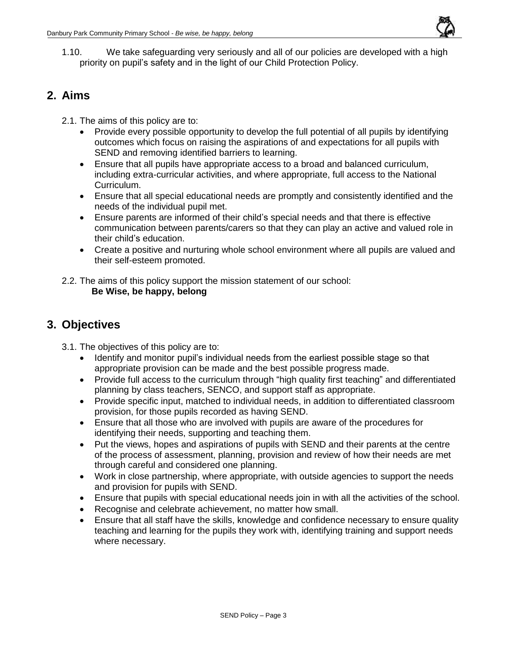- 
- 1.10. We take safeguarding very seriously and all of our policies are developed with a high priority on pupil's safety and in the light of our Child Protection Policy.

#### **2. Aims**

- 2.1. The aims of this policy are to:
	- Provide every possible opportunity to develop the full potential of all pupils by identifying outcomes which focus on raising the aspirations of and expectations for all pupils with SEND and removing identified barriers to learning.
	- Ensure that all pupils have appropriate access to a broad and balanced curriculum, including extra-curricular activities, and where appropriate, full access to the National Curriculum.
	- Ensure that all special educational needs are promptly and consistently identified and the needs of the individual pupil met.
	- Ensure parents are informed of their child's special needs and that there is effective communication between parents/carers so that they can play an active and valued role in their child's education.
	- Create a positive and nurturing whole school environment where all pupils are valued and their self-esteem promoted.
- 2.2. The aims of this policy support the mission statement of our school: **Be Wise, be happy, belong**

#### **3. Objectives**

- 3.1. The objectives of this policy are to:
	- Identify and monitor pupil's individual needs from the earliest possible stage so that appropriate provision can be made and the best possible progress made.
	- Provide full access to the curriculum through "high quality first teaching" and differentiated planning by class teachers, SENCO, and support staff as appropriate.
	- Provide specific input, matched to individual needs, in addition to differentiated classroom provision, for those pupils recorded as having SEND.
	- Ensure that all those who are involved with pupils are aware of the procedures for identifying their needs, supporting and teaching them.
	- Put the views, hopes and aspirations of pupils with SEND and their parents at the centre of the process of assessment, planning, provision and review of how their needs are met through careful and considered one planning.
	- Work in close partnership, where appropriate, with outside agencies to support the needs and provision for pupils with SEND.
	- Ensure that pupils with special educational needs join in with all the activities of the school.
	- Recognise and celebrate achievement, no matter how small.
	- Ensure that all staff have the skills, knowledge and confidence necessary to ensure quality teaching and learning for the pupils they work with, identifying training and support needs where necessary.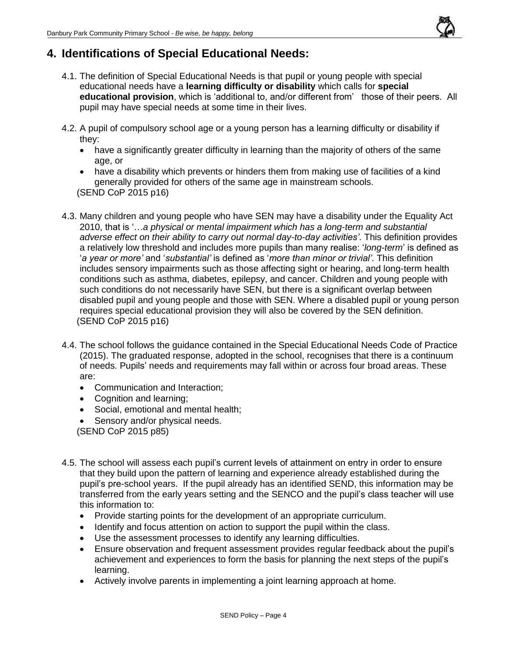

#### **4. Identifications of Special Educational Needs:**

- 4.1. The definition of Special Educational Needs is that pupil or young people with special educational needs have a **learning difficulty or disability** which calls for **special educational provision**, which is 'additional to, and/or different from' those of their peers. All pupil may have special needs at some time in their lives.
- 4.2. A pupil of compulsory school age or a young person has a learning difficulty or disability if they:
	- have a significantly greater difficulty in learning than the majority of others of the same age, or
	- have a disability which prevents or hinders them from making use of facilities of a kind generally provided for others of the same age in mainstream schools. (SEND CoP 2015 p16)
- 4.3. Many children and young people who have SEN may have a disability under the Equality Act 2010, that is '…*a physical or mental impairment which has a long-term and substantial adverse effect on their ability to carry out normal day-to-day activities'*. This definition provides a relatively low threshold and includes more pupils than many realise: '*long-term*' is defined as '*a year or more'* and '*substantial'* is defined as '*more than minor or trivial'*. This definition includes sensory impairments such as those affecting sight or hearing, and long-term health conditions such as asthma, diabetes, epilepsy, and cancer. Children and young people with such conditions do not necessarily have SEN, but there is a significant overlap between disabled pupil and young people and those with SEN. Where a disabled pupil or young person requires special educational provision they will also be covered by the SEN definition. (SEND CoP 2015 p16)
- 4.4. The school follows the guidance contained in the Special Educational Needs Code of Practice (2015). The graduated response, adopted in the school, recognises that there is a continuum of needs. Pupils' needs and requirements may fall within or across four broad areas. These are:
	- Communication and Interaction;
	- Cognition and learning;
	- Social, emotional and mental health;
	- Sensory and/or physical needs.
	- (SEND CoP 2015 p85)
- 4.5. The school will assess each pupil's current levels of attainment on entry in order to ensure that they build upon the pattern of learning and experience already established during the pupil's pre-school years. If the pupil already has an identified SEND, this information may be transferred from the early years setting and the SENCO and the pupil's class teacher will use this information to:
	- Provide starting points for the development of an appropriate curriculum.
	- Identify and focus attention on action to support the pupil within the class.
	- Use the assessment processes to identify any learning difficulties.
	- Ensure observation and frequent assessment provides regular feedback about the pupil's achievement and experiences to form the basis for planning the next steps of the pupil's learning.
	- Actively involve parents in implementing a joint learning approach at home.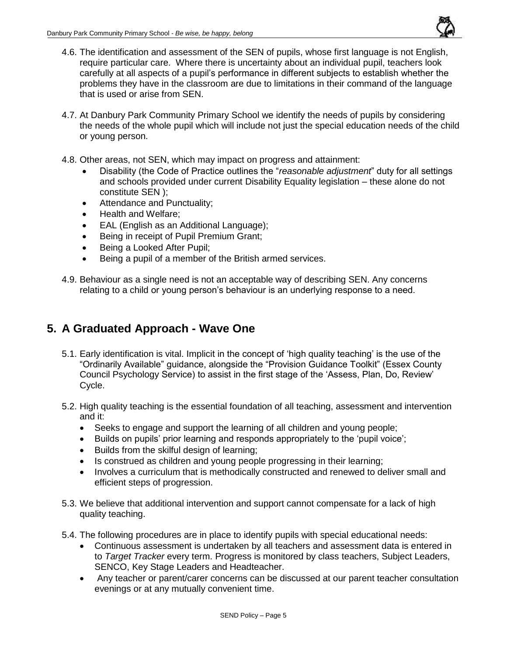

- 4.6. The identification and assessment of the SEN of pupils, whose first language is not English, require particular care. Where there is uncertainty about an individual pupil, teachers look carefully at all aspects of a pupil's performance in different subjects to establish whether the problems they have in the classroom are due to limitations in their command of the language that is used or arise from SEN.
- 4.7. At Danbury Park Community Primary School we identify the needs of pupils by considering the needs of the whole pupil which will include not just the special education needs of the child or young person.
- 4.8. Other areas, not SEN, which may impact on progress and attainment:
	- Disability (the Code of Practice outlines the "*reasonable adjustment*" duty for all settings and schools provided under current Disability Equality legislation – these alone do not constitute SEN );
	- Attendance and Punctuality;
	- Health and Welfare;
	- EAL (English as an Additional Language);
	- Being in receipt of Pupil Premium Grant;
	- Being a Looked After Pupil;
	- Being a pupil of a member of the British armed services.
- 4.9. Behaviour as a single need is not an acceptable way of describing SEN. Any concerns relating to a child or young person's behaviour is an underlying response to a need.

## **5. A Graduated Approach - Wave One**

- 5.1. Early identification is vital. Implicit in the concept of 'high quality teaching' is the use of the "Ordinarily Available" guidance, alongside the "Provision Guidance Toolkit" (Essex County Council Psychology Service) to assist in the first stage of the 'Assess, Plan, Do, Review' Cycle.
- 5.2. High quality teaching is the essential foundation of all teaching, assessment and intervention and it:
	- Seeks to engage and support the learning of all children and young people;
	- Builds on pupils' prior learning and responds appropriately to the 'pupil voice';
	- Builds from the skilful design of learning;
	- Is construed as children and young people progressing in their learning;
	- Involves a curriculum that is methodically constructed and renewed to deliver small and efficient steps of progression.
- 5.3. We believe that additional intervention and support cannot compensate for a lack of high quality teaching.
- 5.4. The following procedures are in place to identify pupils with special educational needs:
	- Continuous assessment is undertaken by all teachers and assessment data is entered in to *Target Tracker* every term. Progress is monitored by class teachers, Subject Leaders, SENCO, Key Stage Leaders and Headteacher.
	- Any teacher or parent/carer concerns can be discussed at our parent teacher consultation evenings or at any mutually convenient time.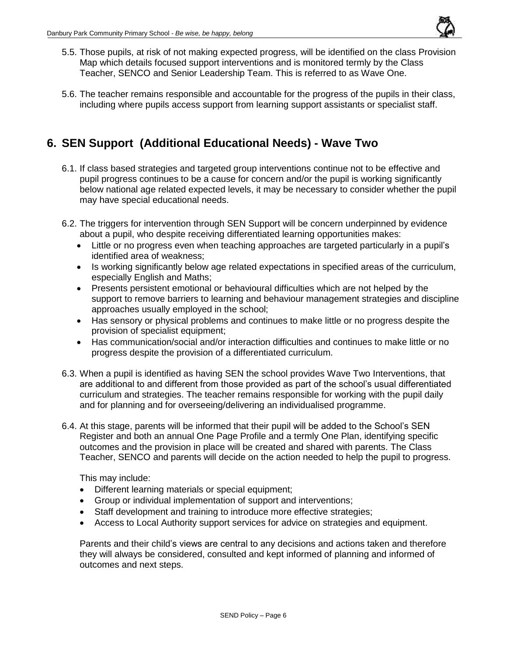

- 5.5. Those pupils, at risk of not making expected progress, will be identified on the class Provision Map which details focused support interventions and is monitored termly by the Class Teacher, SENCO and Senior Leadership Team. This is referred to as Wave One.
- 5.6. The teacher remains responsible and accountable for the progress of the pupils in their class, including where pupils access support from learning support assistants or specialist staff.

## **6. SEN Support (Additional Educational Needs) - Wave Two**

- 6.1. If class based strategies and targeted group interventions continue not to be effective and pupil progress continues to be a cause for concern and/or the pupil is working significantly below national age related expected levels, it may be necessary to consider whether the pupil may have special educational needs.
- 6.2. The triggers for intervention through SEN Support will be concern underpinned by evidence about a pupil, who despite receiving differentiated learning opportunities makes:
	- Little or no progress even when teaching approaches are targeted particularly in a pupil's identified area of weakness;
	- Is working significantly below age related expectations in specified areas of the curriculum, especially English and Maths;
	- Presents persistent emotional or behavioural difficulties which are not helped by the support to remove barriers to learning and behaviour management strategies and discipline approaches usually employed in the school;
	- Has sensory or physical problems and continues to make little or no progress despite the provision of specialist equipment;
	- Has communication/social and/or interaction difficulties and continues to make little or no progress despite the provision of a differentiated curriculum.
- 6.3. When a pupil is identified as having SEN the school provides Wave Two Interventions, that are additional to and different from those provided as part of the school's usual differentiated curriculum and strategies. The teacher remains responsible for working with the pupil daily and for planning and for overseeing/delivering an individualised programme.
- 6.4. At this stage, parents will be informed that their pupil will be added to the School's SEN Register and both an annual One Page Profile and a termly One Plan, identifying specific outcomes and the provision in place will be created and shared with parents. The Class Teacher, SENCO and parents will decide on the action needed to help the pupil to progress.

This may include:

- Different learning materials or special equipment;
- Group or individual implementation of support and interventions;
- Staff development and training to introduce more effective strategies;
- Access to Local Authority support services for advice on strategies and equipment.

Parents and their child's views are central to any decisions and actions taken and therefore they will always be considered, consulted and kept informed of planning and informed of outcomes and next steps.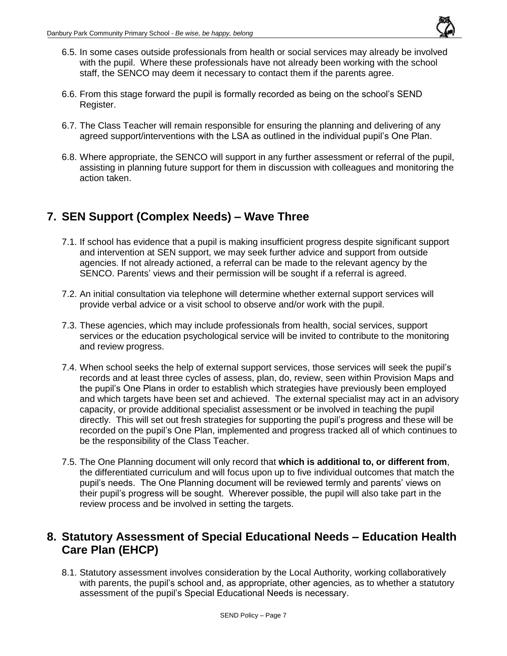

- 6.5. In some cases outside professionals from health or social services may already be involved with the pupil. Where these professionals have not already been working with the school staff, the SENCO may deem it necessary to contact them if the parents agree.
- 6.6. From this stage forward the pupil is formally recorded as being on the school's SEND Register.
- 6.7. The Class Teacher will remain responsible for ensuring the planning and delivering of any agreed support/interventions with the LSA as outlined in the individual pupil's One Plan.
- 6.8. Where appropriate, the SENCO will support in any further assessment or referral of the pupil, assisting in planning future support for them in discussion with colleagues and monitoring the action taken.

#### **7. SEN Support (Complex Needs) – Wave Three**

- 7.1. If school has evidence that a pupil is making insufficient progress despite significant support and intervention at SEN support, we may seek further advice and support from outside agencies. If not already actioned, a referral can be made to the relevant agency by the SENCO. Parents' views and their permission will be sought if a referral is agreed.
- 7.2. An initial consultation via telephone will determine whether external support services will provide verbal advice or a visit school to observe and/or work with the pupil.
- 7.3. These agencies, which may include professionals from health, social services, support services or the education psychological service will be invited to contribute to the monitoring and review progress.
- 7.4. When school seeks the help of external support services, those services will seek the pupil's records and at least three cycles of assess, plan, do, review, seen within Provision Maps and the pupil's One Plans in order to establish which strategies have previously been employed and which targets have been set and achieved. The external specialist may act in an advisory capacity, or provide additional specialist assessment or be involved in teaching the pupil directly. This will set out fresh strategies for supporting the pupil's progress and these will be recorded on the pupil's One Plan, implemented and progress tracked all of which continues to be the responsibility of the Class Teacher.
- 7.5. The One Planning document will only record that **which is additional to, or different from**, the differentiated curriculum and will focus upon up to five individual outcomes that match the pupil's needs. The One Planning document will be reviewed termly and parents' views on their pupil's progress will be sought. Wherever possible, the pupil will also take part in the review process and be involved in setting the targets.

#### **8. Statutory Assessment of Special Educational Needs – Education Health Care Plan (EHCP)**

8.1. Statutory assessment involves consideration by the Local Authority, working collaboratively with parents, the pupil's school and, as appropriate, other agencies, as to whether a statutory assessment of the pupil's Special Educational Needs is necessary.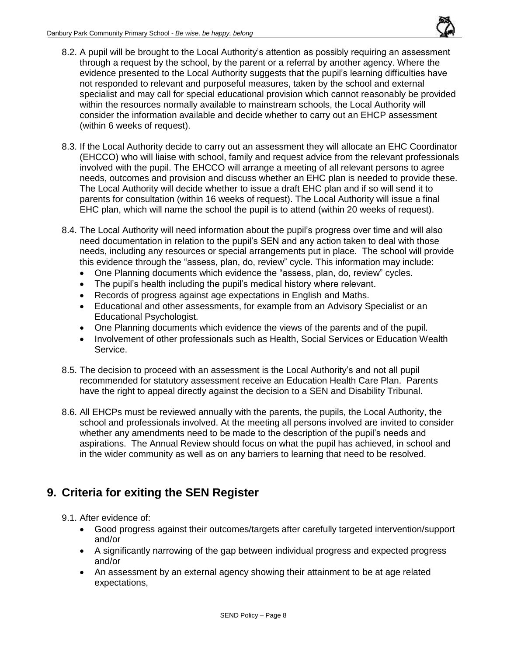

- 8.2. A pupil will be brought to the Local Authority's attention as possibly requiring an assessment through a request by the school, by the parent or a referral by another agency. Where the evidence presented to the Local Authority suggests that the pupil's learning difficulties have not responded to relevant and purposeful measures, taken by the school and external specialist and may call for special educational provision which cannot reasonably be provided within the resources normally available to mainstream schools, the Local Authority will consider the information available and decide whether to carry out an EHCP assessment (within 6 weeks of request).
- 8.3. If the Local Authority decide to carry out an assessment they will allocate an EHC Coordinator (EHCCO) who will liaise with school, family and request advice from the relevant professionals involved with the pupil. The EHCCO will arrange a meeting of all relevant persons to agree needs, outcomes and provision and discuss whether an EHC plan is needed to provide these. The Local Authority will decide whether to issue a draft EHC plan and if so will send it to parents for consultation (within 16 weeks of request). The Local Authority will issue a final EHC plan, which will name the school the pupil is to attend (within 20 weeks of request).
- 8.4. The Local Authority will need information about the pupil's progress over time and will also need documentation in relation to the pupil's SEN and any action taken to deal with those needs, including any resources or special arrangements put in place. The school will provide this evidence through the "assess, plan, do, review" cycle. This information may include:
	- One Planning documents which evidence the "assess, plan, do, review" cycles.
	- The pupil's health including the pupil's medical history where relevant.
	- Records of progress against age expectations in English and Maths.
	- Educational and other assessments, for example from an Advisory Specialist or an Educational Psychologist.
	- One Planning documents which evidence the views of the parents and of the pupil.
	- Involvement of other professionals such as Health, Social Services or Education Wealth Service.
- 8.5. The decision to proceed with an assessment is the Local Authority's and not all pupil recommended for statutory assessment receive an Education Health Care Plan. Parents have the right to appeal directly against the decision to a SEN and Disability Tribunal.
- 8.6. All EHCPs must be reviewed annually with the parents, the pupils, the Local Authority, the school and professionals involved. At the meeting all persons involved are invited to consider whether any amendments need to be made to the description of the pupil's needs and aspirations. The Annual Review should focus on what the pupil has achieved, in school and in the wider community as well as on any barriers to learning that need to be resolved.

## **9. Criteria for exiting the SEN Register**

- 9.1. After evidence of:
	- Good progress against their outcomes/targets after carefully targeted intervention/support and/or
	- A significantly narrowing of the gap between individual progress and expected progress and/or
	- An assessment by an external agency showing their attainment to be at age related expectations,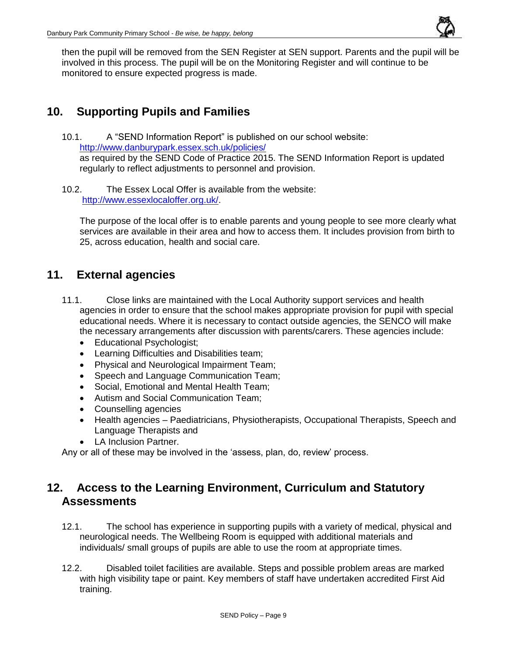

then the pupil will be removed from the SEN Register at SEN support. Parents and the pupil will be involved in this process. The pupil will be on the Monitoring Register and will continue to be monitored to ensure expected progress is made.

## **10. Supporting Pupils and Families**

- 10.1. A "SEND Information Report" is published on our school website: <http://www.danburypark.essex.sch.uk/policies/> as required by the SEND Code of Practice 2015. The SEND Information Report is updated regularly to reflect adjustments to personnel and provision.
- 10.2. The Essex Local Offer is available from the website: [http://www.essexlocaloffer.org.uk/.](http://www.essexlocaloffer.org.uk/)

The purpose of the local offer is to enable parents and young people to see more clearly what services are available in their area and how to access them. It includes provision from birth to 25, across education, health and social care.

#### **11. External agencies**

- 11.1. Close links are maintained with the Local Authority support services and health agencies in order to ensure that the school makes appropriate provision for pupil with special educational needs. Where it is necessary to contact outside agencies, the SENCO will make the necessary arrangements after discussion with parents/carers. These agencies include:
	- Educational Psychologist;
	- Learning Difficulties and Disabilities team;
	- Physical and Neurological Impairment Team;
	- Speech and Language Communication Team;
	- Social, Emotional and Mental Health Team;
	- Autism and Social Communication Team;
	- Counselling agencies
	- Health agencies Paediatricians, Physiotherapists, Occupational Therapists, Speech and Language Therapists and
	- LA Inclusion Partner.

Any or all of these may be involved in the 'assess, plan, do, review' process.

#### **12. Access to the Learning Environment, Curriculum and Statutory Assessments**

- 12.1. The school has experience in supporting pupils with a variety of medical, physical and neurological needs. The Wellbeing Room is equipped with additional materials and individuals/ small groups of pupils are able to use the room at appropriate times.
- 12.2. Disabled toilet facilities are available. Steps and possible problem areas are marked with high visibility tape or paint. Key members of staff have undertaken accredited First Aid training.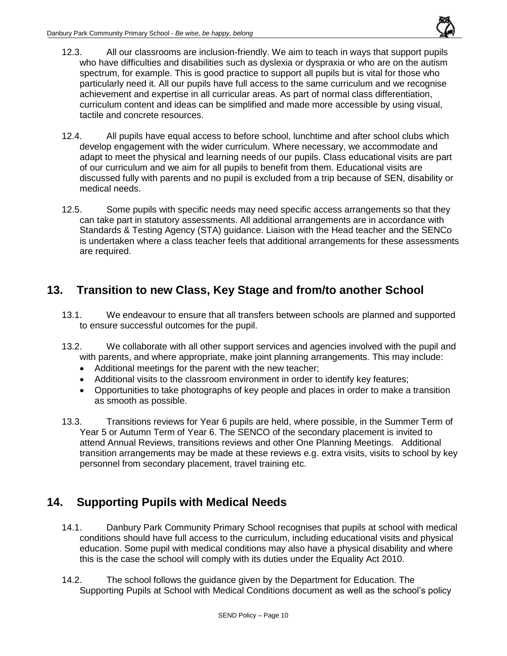

- 12.3. All our classrooms are inclusion-friendly. We aim to teach in ways that support pupils who have difficulties and disabilities such as dyslexia or dyspraxia or who are on the autism spectrum, for example. This is good practice to support all pupils but is vital for those who particularly need it. All our pupils have full access to the same curriculum and we recognise achievement and expertise in all curricular areas. As part of normal class differentiation, curriculum content and ideas can be simplified and made more accessible by using visual, tactile and concrete resources.
- 12.4. All pupils have equal access to before school, lunchtime and after school clubs which develop engagement with the wider curriculum. Where necessary, we accommodate and adapt to meet the physical and learning needs of our pupils. Class educational visits are part of our curriculum and we aim for all pupils to benefit from them. Educational visits are discussed fully with parents and no pupil is excluded from a trip because of SEN, disability or medical needs.
- 12.5. Some pupils with specific needs may need specific access arrangements so that they can take part in statutory assessments. All additional arrangements are in accordance with Standards & Testing Agency (STA) guidance. Liaison with the Head teacher and the SENCo is undertaken where a class teacher feels that additional arrangements for these assessments are required.

## **13. Transition to new Class, Key Stage and from/to another School**

- 13.1. We endeavour to ensure that all transfers between schools are planned and supported to ensure successful outcomes for the pupil.
- 13.2. We collaborate with all other support services and agencies involved with the pupil and with parents, and where appropriate, make joint planning arrangements. This may include:
	- Additional meetings for the parent with the new teacher;
	- Additional visits to the classroom environment in order to identify key features;
	- Opportunities to take photographs of key people and places in order to make a transition as smooth as possible.
- 13.3. Transitions reviews for Year 6 pupils are held, where possible, in the Summer Term of Year 5 or Autumn Term of Year 6. The SENCO of the secondary placement is invited to attend Annual Reviews, transitions reviews and other One Planning Meetings. Additional transition arrangements may be made at these reviews e.g. extra visits, visits to school by key personnel from secondary placement, travel training etc.

## **14. Supporting Pupils with Medical Needs**

- 14.1. Danbury Park Community Primary School recognises that pupils at school with medical conditions should have full access to the curriculum, including educational visits and physical education. Some pupil with medical conditions may also have a physical disability and where this is the case the school will comply with its duties under the Equality Act 2010.
- 14.2. The school follows the guidance given by the Department for Education. The Supporting Pupils at School with Medical Conditions document as well as the school's policy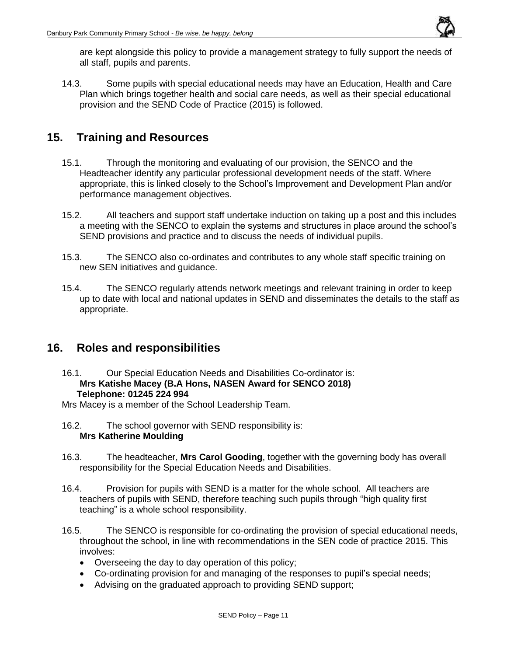

are kept alongside this policy to provide a management strategy to fully support the needs of all staff, pupils and parents.

14.3. Some pupils with special educational needs may have an Education, Health and Care Plan which brings together health and social care needs, as well as their special educational provision and the SEND Code of Practice (2015) is followed.

## **15. Training and Resources**

- 15.1. Through the monitoring and evaluating of our provision, the SENCO and the Headteacher identify any particular professional development needs of the staff. Where appropriate, this is linked closely to the School's Improvement and Development Plan and/or performance management objectives.
- 15.2. All teachers and support staff undertake induction on taking up a post and this includes a meeting with the SENCO to explain the systems and structures in place around the school's SEND provisions and practice and to discuss the needs of individual pupils.
- 15.3. The SENCO also co-ordinates and contributes to any whole staff specific training on new SEN initiatives and guidance.
- 15.4. The SENCO regularly attends network meetings and relevant training in order to keep up to date with local and national updates in SEND and disseminates the details to the staff as appropriate.

#### **16. Roles and responsibilities**

16.1. Our Special Education Needs and Disabilities Co-ordinator is: **Mrs Katishe Macey (B.A Hons, NASEN Award for SENCO 2018) Telephone: 01245 224 994**

Mrs Macey is a member of the School Leadership Team.

- 16.2. The school governor with SEND responsibility is: **Mrs Katherine Moulding**
- 16.3. The headteacher, **Mrs Carol Gooding**, together with the governing body has overall responsibility for the Special Education Needs and Disabilities.
- 16.4. Provision for pupils with SEND is a matter for the whole school. All teachers are teachers of pupils with SEND, therefore teaching such pupils through "high quality first teaching" is a whole school responsibility.
- 16.5. The SENCO is responsible for co-ordinating the provision of special educational needs, throughout the school, in line with recommendations in the SEN code of practice 2015. This involves:
	- Overseeing the day to day operation of this policy;
	- Co-ordinating provision for and managing of the responses to pupil's special needs;
	- Advising on the graduated approach to providing SEND support;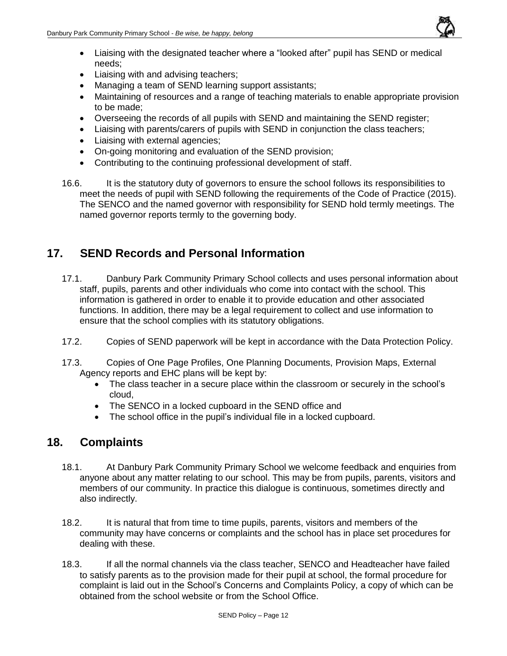

- Liaising with the designated teacher where a "looked after" pupil has SEND or medical needs;
- Liaising with and advising teachers;
- Managing a team of SEND learning support assistants;
- Maintaining of resources and a range of teaching materials to enable appropriate provision to be made;
- Overseeing the records of all pupils with SEND and maintaining the SEND register;
- Liaising with parents/carers of pupils with SEND in conjunction the class teachers;
- Liaising with external agencies;
- On-going monitoring and evaluation of the SEND provision;
- Contributing to the continuing professional development of staff.
- 16.6. It is the statutory duty of governors to ensure the school follows its responsibilities to meet the needs of pupil with SEND following the requirements of the Code of Practice (2015). The SENCO and the named governor with responsibility for SEND hold termly meetings. The named governor reports termly to the governing body.

## **17. SEND Records and Personal Information**

- 17.1. Danbury Park Community Primary School collects and uses personal information about staff, pupils, parents and other individuals who come into contact with the school. This information is gathered in order to enable it to provide education and other associated functions. In addition, there may be a legal requirement to collect and use information to ensure that the school complies with its statutory obligations.
- 17.2. Copies of SEND paperwork will be kept in accordance with the Data Protection Policy.
- 17.3. Copies of One Page Profiles, One Planning Documents, Provision Maps, External Agency reports and EHC plans will be kept by:
	- The class teacher in a secure place within the classroom or securely in the school's cloud,
	- The SENCO in a locked cupboard in the SEND office and
	- The school office in the pupil's individual file in a locked cupboard.

#### **18. Complaints**

- 18.1. At Danbury Park Community Primary School we welcome feedback and enquiries from anyone about any matter relating to our school. This may be from pupils, parents, visitors and members of our community. In practice this dialogue is continuous, sometimes directly and also indirectly.
- 18.2. It is natural that from time to time pupils, parents, visitors and members of the community may have concerns or complaints and the school has in place set procedures for dealing with these.
- 18.3. If all the normal channels via the class teacher, SENCO and Headteacher have failed to satisfy parents as to the provision made for their pupil at school, the formal procedure for complaint is laid out in the School's Concerns and Complaints Policy, a copy of which can be obtained from the school website or from the School Office.